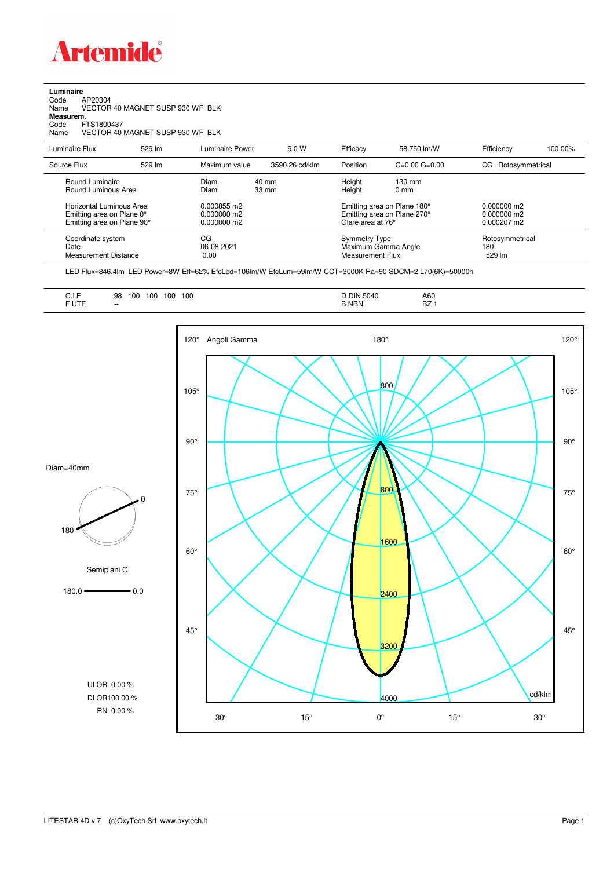

| Luminaire<br>AP20304<br>Code<br>Name<br>Measurem.<br>FTS1800437<br>Code<br>Name     | VECTOR 40 MAGNET SUSP 930 WF BLK<br>VECTOR 40 MAGNET SUSP 930 WF BLK |                                           |                                    |                                          |                                                            |                                             |         |
|-------------------------------------------------------------------------------------|----------------------------------------------------------------------|-------------------------------------------|------------------------------------|------------------------------------------|------------------------------------------------------------|---------------------------------------------|---------|
| Luminaire Flux                                                                      | 529 lm                                                               | Luminaire Power                           | 9.0 W                              | Efficacy                                 | 58.750 lm/W                                                | Efficiency                                  | 100.00% |
| Source Flux                                                                         | 529 lm                                                               | Maximum value                             | 3590.26 cd/klm                     | Position                                 | $C=0.00$ $G=0.00$                                          | Rotosymmetrical<br>CG.                      |         |
| Round Luminaire<br>Round Luminous Area                                              |                                                                      | Diam.<br>Diam.                            | $40 \text{ mm}$<br>$33 \text{ mm}$ | Height<br>Height                         | $130 \text{ mm}$<br>0 <sub>mm</sub>                        |                                             |         |
| Horizontal Luminous Area<br>Emitting area on Plane 0°<br>Emitting area on Plane 90° |                                                                      | 0.000855 m2<br>0.000000 m2<br>0.000000 m2 |                                    | Glare area at 76°                        | Emitting area on Plane 180°<br>Emitting area on Plane 270° | $0.000000$ m2<br>0.000000 m2<br>0.000207 m2 |         |
| Coordinate system<br>Date<br><b>Measurement Distance</b>                            |                                                                      | CG<br>06-08-2021<br>0.00                  |                                    | <b>Symmetry Type</b><br>Measurement Flux | Maximum Gamma Angle                                        | Rotosymmetrical<br>180<br>529 lm            |         |

LED Flux=846,4lm LED Power=8W Eff=62% EfcLed=106lm/W EfcLum=59lm/W CCT=3000K Ra=90 SDCM=2 L70(6K)=50000h